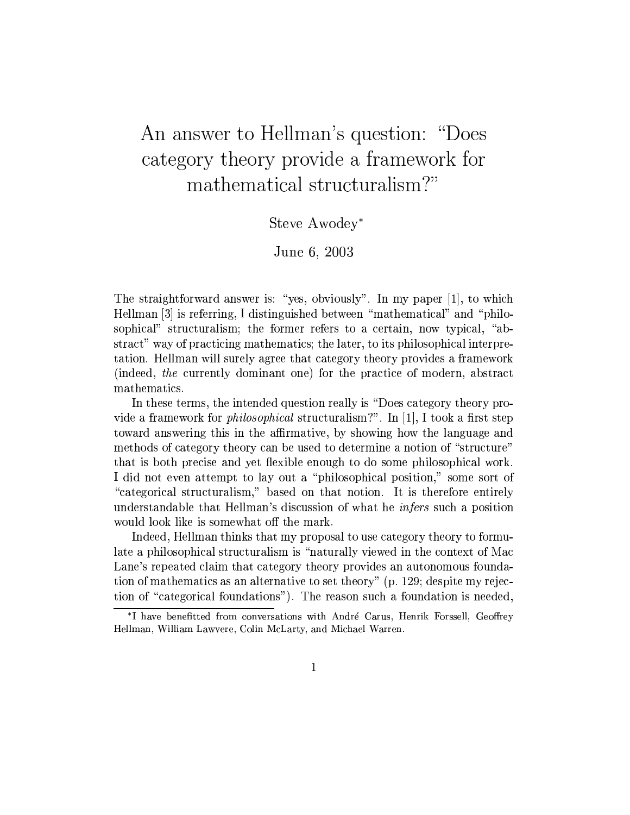# An answer to Hellman's question: "Does" category theory provide a framework for mathematical structuralism?"

## Steve Awodey\*

June 6, 2003

The straightforward answer is: "yes, obviously". In my paper [1], to which Hellman [3] is referring, I distinguished between "mathematical" and "philosophical" structuralism; the former refers to a certain, now typical, "abstract" way of practicing mathematics; the later, to its philosophical interpretation. Hellman will surely agree that category theory provides a framework (indeed, the currently dominant one) for the practice of modern, abstract mathematics.

In these terms, the intended question really is "Does category theory provide a framework for *philosophical* structuralism?". In [1], I took a first step toward answering this in the affirmative, by showing how the language and methods of category theory can be used to determine a notion of "structure" that is both precise and yet flexible enough to do some philosophical work. I did not even attempt to lay out a "philosophical position," some sort of "categorical structuralism," based on that notion. It is therefore entirely understandable that Hellman's discussion of what he *infers* such a position would look like is somewhat off the mark.

Indeed, Hellman thinks that my proposal to use category theory to formulate a philosophical structuralism is "naturally viewed in the context of Mac Lane's repeated claim that category theory provides an autonomous foundation of mathematics as an alternative to set theory" (p. 129; despite my rejection of "categorical foundations"). The reason such a foundation is needed,

<sup>\*</sup>I have benefitted from conversations with André Carus, Henrik Forssell, Geoffrey Hellman, William Lawvere, Colin McLarty, and Michael Warren.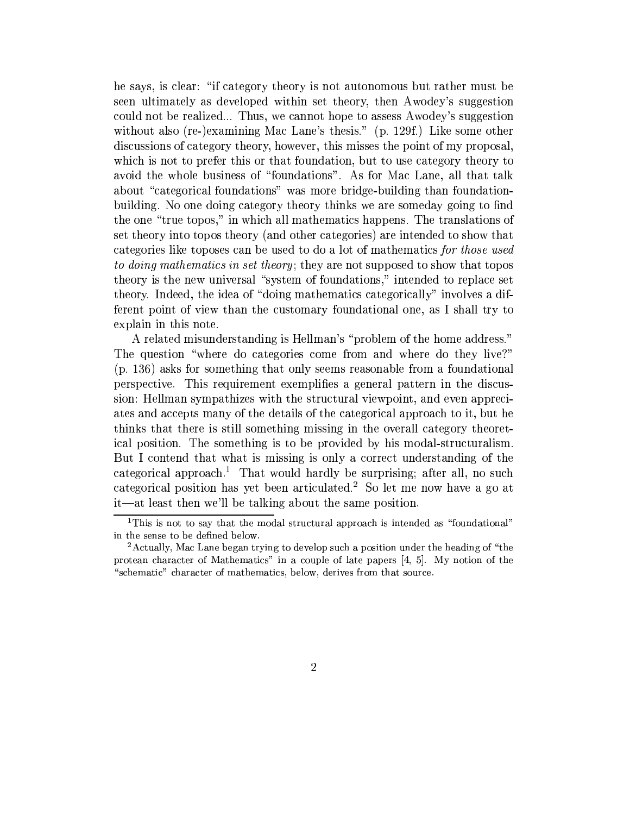he says, is clear: "if category theory is not autonomous but rather must be seen ultimately as developed within set theory, then Awodey's suggestion could not be realized... Thus, we cannot hope to assess Awodey's suggestion without also (re-)examining Mac Lane's thesis." (p. 129f.) Like some other discussions of category theory, however, this misses the point of my proposal, which is not to prefer this or that foundation, but to use category theory to avoid the whole business of "foundations". As for Mac Lane, all that talk about "categorical foundations" was more bridge-building than foundationbuilding. No one doing category theory thinks we are someday going to find the one "true topos," in which all mathematics happens. The translations of set theory into topos theory (and other categories) are intended to show that categories like toposes can be used to do a lot of mathematics for those used to doing mathematics in set theory; they are not supposed to show that topos theory is the new universal "system of foundations," intended to replace set theory. Indeed, the idea of "doing mathematics categorically" involves a different point of view than the customary foundational one, as I shall try to explain in this note.

A related misunderstanding is Hellman's "problem of the home address." The question "where do categories come from and where do they live?"  $(p. 136)$  asks for something that only seems reasonable from a foundational perspective. This requirement exemplifies a general pattern in the discussion: Hellman sympathizes with the structural viewpoint, and even appreciates and accepts many of the details of the categorical approach to it, but he thinks that there is still something missing in the overall category theoretical position. The something is to be provided by his modal-structuralism. But I contend that what is missing is only a correct understanding of the categorical approach.<sup>1</sup> That would hardly be surprising; after all, no such categorical position has yet been articulated.<sup>2</sup> So let me now have a go at it—at least then we'll be talking about the same position.

<sup>&</sup>lt;sup>1</sup>This is not to say that the modal structural approach is intended as "foundational" in the sense to be defined below.

<sup>&</sup>lt;sup>2</sup>Actually, Mac Lane began trying to develop such a position under the heading of "the protean character of Mathematics" in a couple of late papers [4, 5]. My notion of the .<br>"schematic" character of mathematics, below, derives from that source.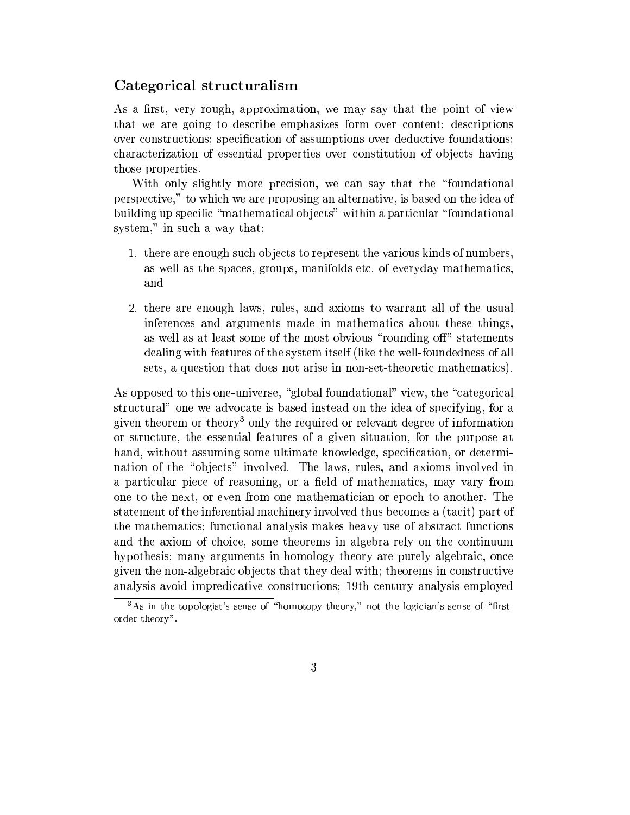## Categorical structuralism

As a first, very rough, approximation, we may say that the point of view that we are going to describe emphasizes form over content; descriptions over constructions; specification of assumptions over deductive foundations; characterization of essential properties over constitution of objects having those properties.

With only slightly more precision, we can say that the "foundational perspective," to which we are proposing an alternative, is based on the idea of building up specific "mathematical objects" within a particular "foundational system," in such a way that:

- 1. there are enough such objects to represent the various kinds of numbers, as well as the spaces, groups, manifolds etc. of everyday mathematics, and
- 2. there are enough laws, rules, and axioms to warrant all of the usual inferences and arguments made in mathematics about these things, as well as at least some of the most obvious "rounding off" statements dealing with features of the system itself (like the well-foundedness of all sets, a question that does not arise in non-set-theoretic mathematics).

As opposed to this one-universe, "global foundational" view, the "categorical" structural" one we advocate is based instead on the idea of specifying, for a given theorem or theory<sup>3</sup> only the required or relevant degree of information or structure, the essential features of a given situation, for the purpose at hand, without assuming some ultimate knowledge, specification, or determination of the "objects" involved. The laws, rules, and axioms involved in a particular piece of reasoning, or a field of mathematics, may vary from one to the next, or even from one mathematician or epoch to another. The statement of the inferential machinery involved thus becomes a (tacit) part of the mathematics; functional analysis makes heavy use of abstract functions and the axiom of choice, some theorems in algebra rely on the continuum hypothesis; many arguments in homology theory are purely algebraic, once given the non-algebraic objects that they deal with; theorems in constructive analysis avoid impredicative constructions; 19th century analysis employed

<sup>&</sup>lt;sup>3</sup>As in the topologist's sense of "homotopy theory," not the logician's sense of "firstorder theory".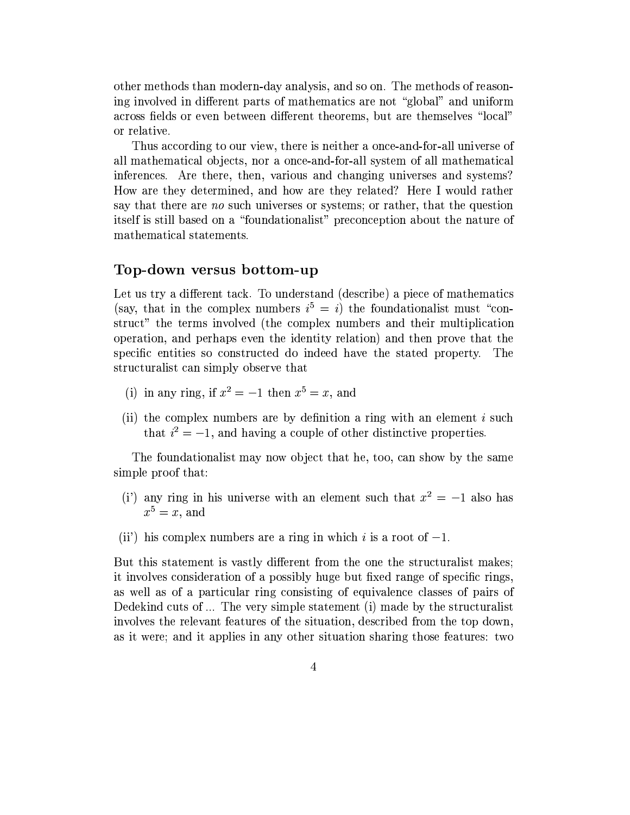other methods than modern-day analysis, and so on. The methods of reasoning involved in different parts of mathematics are not "global" and uniform across fields or even between different theorems, but are themselves "local" or relative.

Thus according to our view, there is neither a once-and-for-all universe of all mathematical objects, nor a once-and-for-all system of all mathematical inferences. Are there, then, various and changing universes and systems? How are they determined, and how are they related? Here I would rather say that there are no such universes or systems; or rather, that the question itself is still based on a "foundationalist" preconception about the nature of mathematical statements.

#### Top-down versus bottom-up

Let us try a different tack. To understand (describe) a piece of mathematics (say, that in the complex numbers  $i^5 = i$ ) the foundationalist must "construct" the terms involved (the complex numbers and their multiplication operation, and perhaps even the identity relation) and then prove that the specific entities so constructed do indeed have the stated property. The structuralist can simply observe that

- (i) in any ring, if  $x^2 = -1$  then  $x^5 = x$ , and
- (ii) the complex numbers are by definition a ring with an element i such that  $i^2 = -1$ , and having a couple of other distinctive properties.

The foundationalist may now object that he, too, can show by the same simple proof that:

- (i') any ring in his universe with an element such that  $x^2 = -1$  also has  $x^5=x$  and
- (ii) his complex numbers are a ring in which i is a root of  $-1$ .

But this statement is vastly different from the one the structuralist makes; it involves consideration of a possibly huge but fixed range of specific rings. as well as of a particular ring consisting of equivalence classes of pairs of Dedekind cuts of ... The very simple statement (i) made by the structuralist involves the relevant features of the situation, described from the top down, as it were; and it applies in any other situation sharing those features: two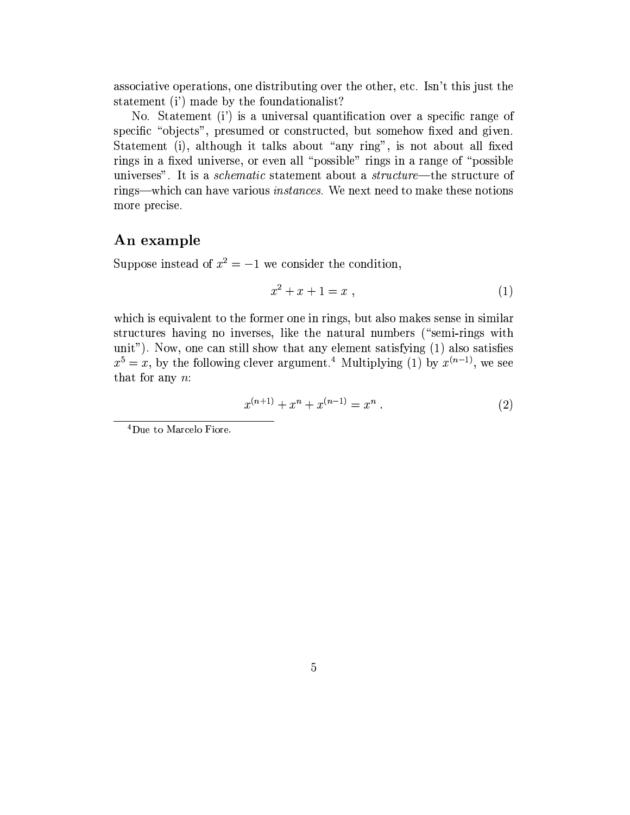associative operations, one distributing over the other, etc. Isn't this just the statement (i') made by the foundationalist?

No. Statement (i') is a universal quantification over a specific range of specific "objects", presumed or constructed, but somehow fixed and given. Statement (i), although it talks about "any ring", is not about all fixed rings in a fixed universe, or even all "possible" rings in a range of "possible" universes". It is a *schematic* statement about a *structure*—the structure of rings—which can have various *instances*. We next need to make these notions more precise.

### An example

Suppose instead of  $x^2 = -1$  we consider the condition,

$$
x^2 + x + 1 = x \tag{1}
$$

which is equivalent to the former one in rings, but also makes sense in similar structures having no inverses, like the natural numbers ("semi-rings with unit"). Now, one can still show that any element satisfying (1) also satisfies  $x^5 = x$ , by the following clever argument.<sup>4</sup> Multiplying (1) by  $x^{(n-1)}$ , we see that for any  $n$ :

$$
x^{(n+1)} + x^n + x^{(n-1)} = x^n . \t\t(2)
$$

 $^4\rm{Due}$  to Marcelo Fiore.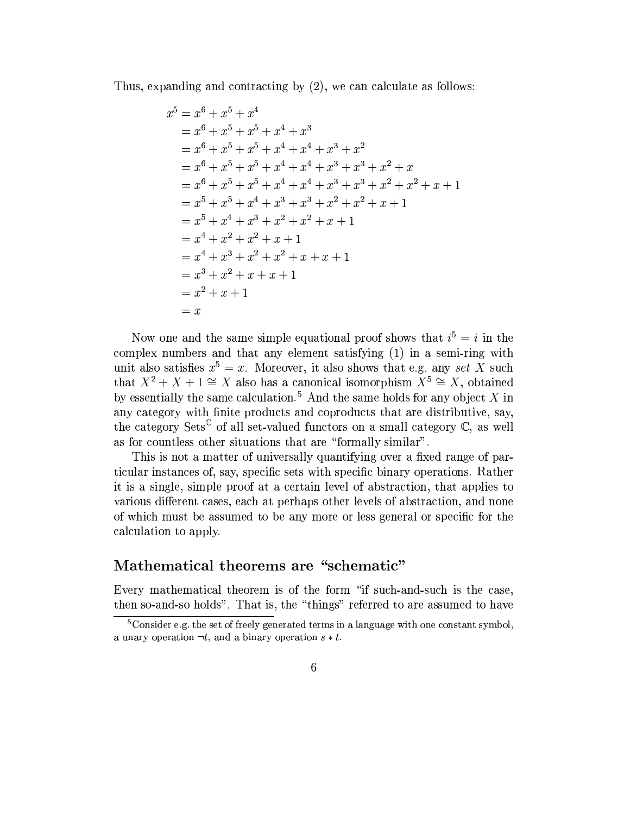Thus, expanding and contracting by (2), we can calculate as follows:

$$
x^{5} = x^{6} + x^{5} + x^{4}
$$
  
\n
$$
= x^{6} + x^{5} + x^{5} + x^{4} + x^{3}
$$
  
\n
$$
= x^{6} + x^{5} + x^{5} + x^{4} + x^{4} + x^{3} + x^{2}
$$
  
\n
$$
= x^{6} + x^{5} + x^{5} + x^{4} + x^{4} + x^{3} + x^{3} + x^{2} + x
$$
  
\n
$$
= x^{6} + x^{5} + x^{5} + x^{4} + x^{4} + x^{3} + x^{3} + x^{2} + x^{2} + x + 1
$$
  
\n
$$
= x^{5} + x^{5} + x^{4} + x^{3} + x^{2} + x^{2} + x + 1
$$
  
\n
$$
= x^{5} + x^{4} + x^{3} + x^{2} + x^{2} + x + 1
$$
  
\n
$$
= x^{4} + x^{2} + x^{2} + x + 1
$$
  
\n
$$
= x^{4} + x^{3} + x^{2} + x^{2} + x + x + 1
$$
  
\n
$$
= x^{3} + x^{2} + x + x + 1
$$
  
\n
$$
= x^{2} + x + 1
$$
  
\n
$$
= x^{2} + x + 1
$$
  
\n
$$
= x
$$

Now one and the same simple equational proof shows that  $i^5 = i$  in the complex numbers and that any element satisfying (1) in a semi-ring with unit also satisfies  $x^5 = x$ . Moreover, it also shows that e.g. any set X such that  $X^2 + X + 1 \cong X$  also has a canonical isomorphism  $X^5 \cong X$ , obtained by essentially the same calculation.<sup>5</sup> And the same holds for any object  $X$  in any category with finite products and coproducts that are distributive, say, the category Sets<sup>C</sup> of all set-valued functors on a small category C, as well as for countless other situations that are "formally similar".

This is not a matter of universally quantifying over a fixed range of particular instances of, say, specific sets with specific binary operations. Rather it is a single, simple proof at a certain level of abstraction, that applies to various different cases, each at perhaps other levels of abstraction, and none of which must be assumed to be any more or less general or specific for the calculation to apply.

#### Mathematical theorems are "schematic"

Every mathematical theorem is of the form "if such-and-such is the case, then so-and-so holds". That is, the "things" referred to are assumed to have

 $5$ Consider e.g. the set of freely generated terms in a language with one constant symbol, a unary operation  $\neg t$ , and a binary operation  $s * t$ .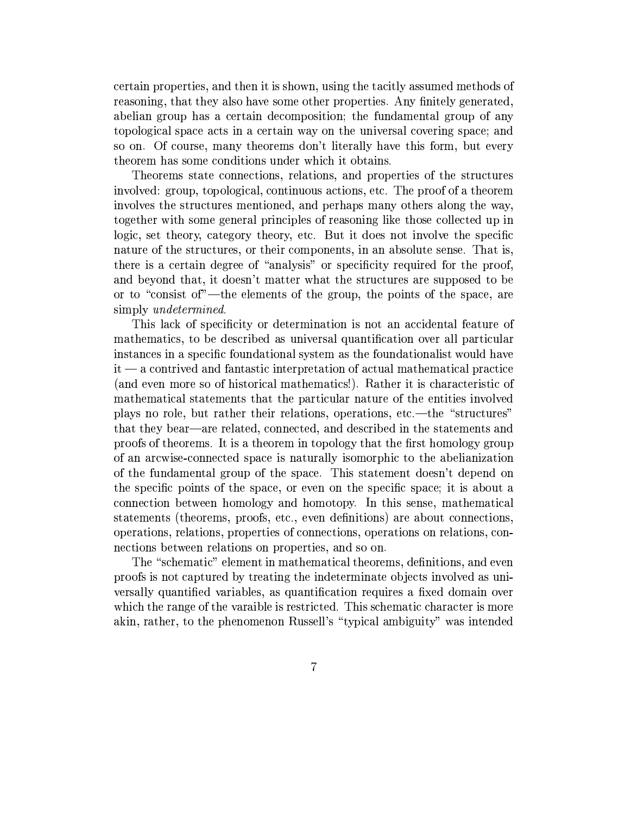certain properties, and then it is shown, using the tacitly assumed methods of reasoning, that they also have some other properties. Any finitely generated, abelian group has a certain decomposition; the fundamental group of any topological space acts in a certain way on the universal covering space; and so on. Of course, many theorems don't literally have this form, but every theorem has some conditions under which it obtains.

Theorems state connections, relations, and properties of the structures involved: group, topological, continuous actions, etc. The proof of a theorem involves the structures mentioned, and perhaps many others along the way. together with some general principles of reasoning like those collected up in logic, set theory, category theory, etc. But it does not involve the specific nature of the structures, or their components, in an absolute sense. That is, there is a certain degree of "analysis" or specificity required for the proof, and beyond that, it doesn't matter what the structures are supposed to be or to "consist of"—the elements of the group, the points of the space, are simply *undetermined*.

This lack of specificity or determination is not an accidental feature of mathematics, to be described as universal quantification over all particular instances in a specific foundational system as the foundationalist would have  $it - a$  contrived and fantastic interpretation of actual mathematical practice (and even more so of historical mathematics!). Rather it is characteristic of mathematical statements that the particular nature of the entities involved plays no role, but rather their relations, operations, etc.—the "structures" that they bear—are related, connected, and described in the statements and proofs of theorems. It is a theorem in topology that the first homology group of an arcwise-connected space is naturally isomorphic to the abelianization of the fundamental group of the space. This statement doesn't depend on the specific points of the space, or even on the specific space; it is about a connection between homology and homotopy. In this sense, mathematical statements (theorems, proofs, etc., even definitions) are about connections, operations, relations, properties of connections, operations on relations, connections between relations on properties, and so on.

The "schematic" element in mathematical theorems, definitions, and even proofs is not captured by treating the indeterminate objects involved as universally quantified variables, as quantification requires a fixed domain over which the range of the varaible is restricted. This schematic character is more akin, rather, to the phenomenon Russell's "typical ambiguity" was intended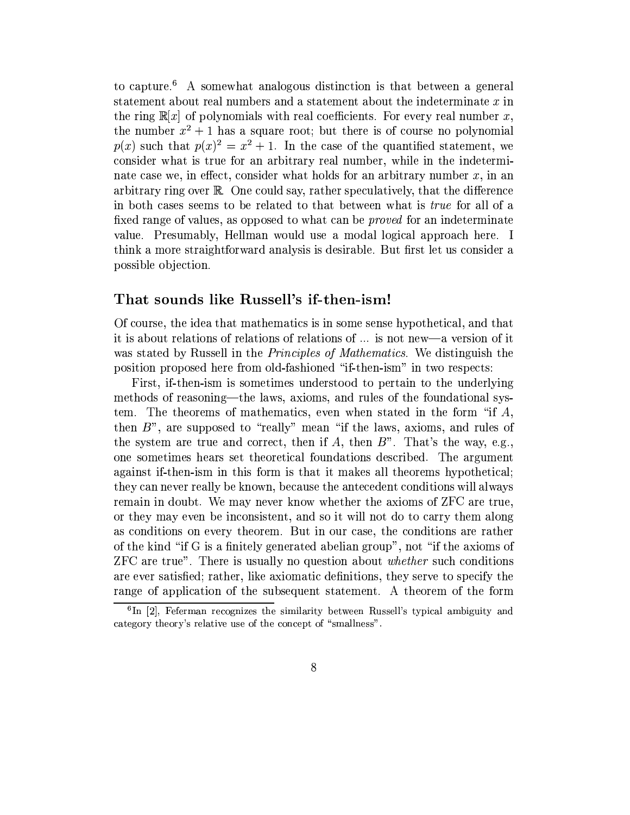to capture.<sup>6</sup> A somewhat analogous distinction is that between a general statement about real numbers and a statement about the indeterminate  $x$  in the ring  $\mathbb{R}[x]$  of polynomials with real coefficients. For every real number x, the number  $x^2 + 1$  has a square root; but there is of course no polynomial  $p(x)$  such that  $p(x)^2 = x^2 + 1$ . In the case of the quantified statement, we consider what is true for an arbitrary real number, while in the indeterminate case we, in effect, consider what holds for an arbitrary number  $x$ , in an arbitrary ring over R. One could say, rather speculatively, that the difference in both cases seems to be related to that between what is *true* for all of a fixed range of values, as opposed to what can be *proved* for an indeterminate value. Presumably, Hellman would use a modal logical approach here. I think a more straightforward analysis is desirable. But first let us consider a possible objection.

#### That sounds like Russell's if-then-ism!

Of course, the idea that mathematics is in some sense hypothetical, and that it is about relations of relations of relations of ... is not new—a version of it was stated by Russell in the *Principles of Mathematics*. We distinguish the position proposed here from old-fashioned "if-then-ism" in two respects:

First, if-then-ism is sometimes understood to pertain to the underlying methods of reasoning—the laws, axioms, and rules of the foundational system. The theorems of mathematics, even when stated in the form "if  $A$ , then  $B$ ", are supposed to "really" mean "if the laws, axioms, and rules of the system are true and correct, then if A, then  $B$ ". That's the way, e.g., one sometimes hears set theoretical foundations described. The argument against if-then-ism in this form is that it makes all theorems hypothetical; they can never really be known, because the antecedent conditions will always remain in doubt. We may never know whether the axioms of ZFC are true, or they may even be inconsistent, and so it will not do to carry them along as conditions on every theorem. But in our case, the conditions are rather of the kind "if G is a finitely generated abelian group", not "if the axioms of ZFC are true". There is usually no question about *whether* such conditions are ever satisfied; rather, like axiomatic definitions, they serve to specify the range of application of the subsequent statement. A theorem of the form

 ${}^{6}$ In [2], Feferman recognizes the similarity between Russell's typical ambiguity and category theory's relative use of the concept of "smallness".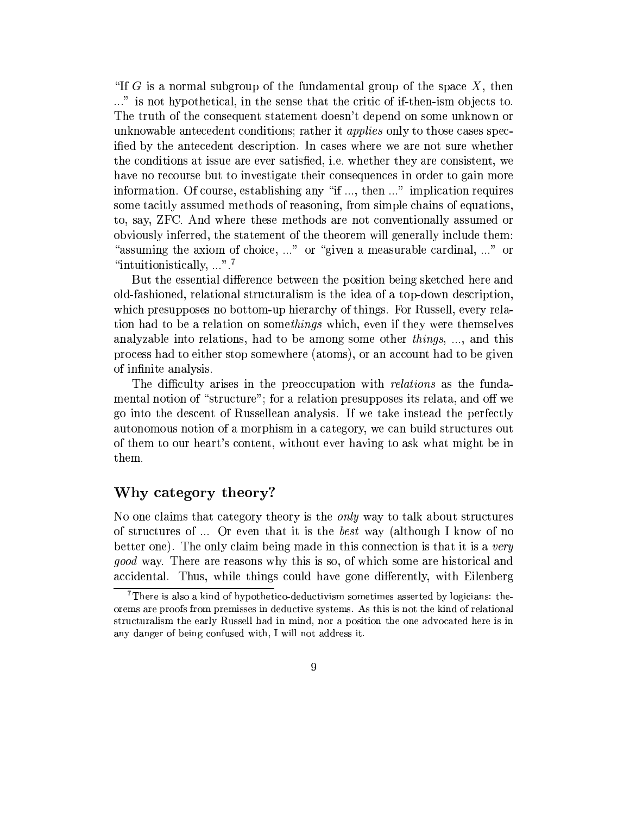"If G is a normal subgroup of the fundamental group of the space X, then ..." is not hypothetical, in the sense that the critic of if-then-ism objects to. The truth of the consequent statement doesn't depend on some unknown or unknowable antecedent conditions; rather it *applies* only to those cases specified by the antecedent description. In cases where we are not sure whether the conditions at issue are ever satisfied, i.e. whether they are consistent, we have no recourse but to investigate their consequences in order to gain more information. Of course, establishing any "if ..., then ..." implication requires some tacitly assumed methods of reasoning, from simple chains of equations, to, say, ZFC. And where these methods are not conventionally assumed or obviously inferred, the statement of the theorem will generally include them: "assuming the axiom of choice, ..." or "given a measurable cardinal, ..." or "intuitionistically,  $\ldots$ ".<sup>7</sup>

But the essential difference between the position being sketched here and old-fashioned, relational structuralism is the idea of a top-down description, which presupposes no bottom-up hierarchy of things. For Russell, every relation had to be a relation on somethings which, even if they were themselves analyzable into relations, had to be among some other *things*, ..., and this process had to either stop somewhere (atoms), or an account had to be given of infinite analysis.

The difficulty arises in the preoccupation with *relations* as the fundamental notion of "structure"; for a relation presupposes its relata, and off we go into the descent of Russellean analysis. If we take instead the perfectly autonomous notion of a morphism in a category, we can build structures out of them to our heart's content, without ever having to ask what might be in them.

#### Why category theory?

No one claims that category theory is the *only* way to talk about structures of structures of ... Or even that it is the best way (although I know of no better one). The only claim being made in this connection is that it is a very *good* way. There are reasons why this is so, of which some are historical and accidental. Thus, while things could have gone differently, with Eilenberg

<sup>&</sup>lt;sup>7</sup>There is also a kind of hypothetico-deductivism sometimes asserted by logicians: theorems are proofs from premisses in deductive systems. As this is not the kind of relational structuralism the early Russell had in mind, nor a position the one advocated here is in any danger of being confused with, I will not address it.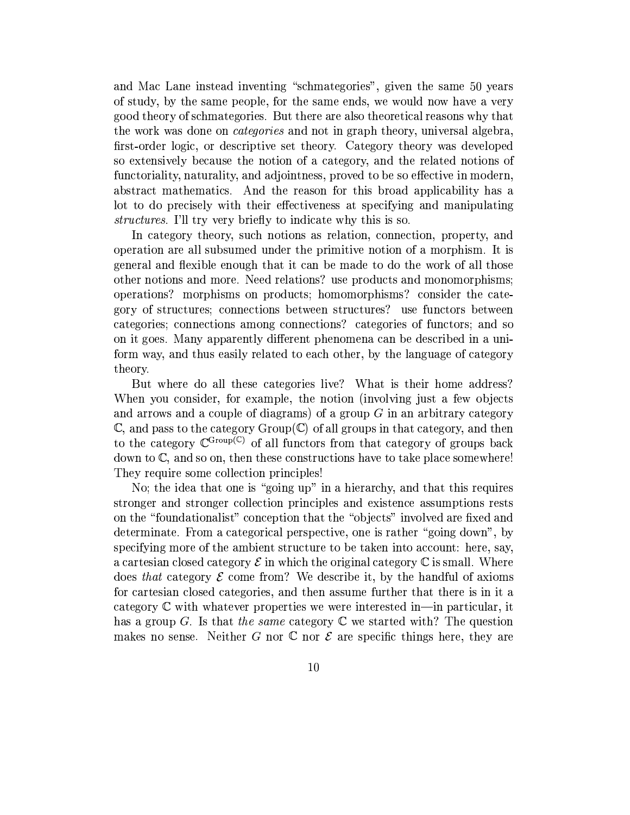and Mac Lane instead inventing "schmategories", given the same 50 years of study, by the same people, for the same ends, we would now have a very good theory of schmategories. But there are also theoretical reasons why that the work was done on *categories* and not in graph theory, universal algebra, first-order logic, or descriptive set theory. Category theory was developed so extensively because the notion of a category, and the related notions of functoriality, naturality, and adjointness, proved to be so effective in modern, abstract mathematics. And the reason for this broad applicability has a lot to do precisely with their effectiveness at specifying and manipulating structures. I'll try very briefly to indicate why this is so.

In category theory, such notions as relation, connection, property, and operation are all subsumed under the primitive notion of a morphism. It is general and flexible enough that it can be made to do the work of all those other notions and more. Need relations? use products and monomorphisms; operations? morphisms on products; homomorphisms? consider the category of structures; connections between structures? use functors between categories; connections among connections? categories of functors; and so on it goes. Many apparently different phenomena can be described in a uniform way, and thus easily related to each other, by the language of category theory.

But where do all these categories live? What is their home address? When you consider, for example, the notion (involving just a few objects and arrows and a couple of diagrams) of a group  $G$  in an arbitrary category  $\mathbb C$ , and pass to the category Group( $\mathbb C$ ) of all groups in that category, and then to the category  $\mathbb{C}^{\text{Group}(\mathbb{C})}$  of all functors from that category of groups back down to  $\mathbb{C}$ , and so on, then these constructions have to take place somewhere! They require some collection principles!

No; the idea that one is "going up" in a hierarchy, and that this requires stronger and stronger collection principles and existence assumptions rests on the "foundationalist" conception that the "objects" involved are fixed and determinate. From a categorical perspective, one is rather "going down", by specifying more of the ambient structure to be taken into account: here, say, a cartesian closed category  $\mathcal E$  in which the original category  $\mathbb C$  is small. Where does that category  $\mathcal E$  come from? We describe it, by the handful of axioms for cartesian closed categories, and then assume further that there is in it a category  $\mathbb C$  with whatever properties we were interested in—in particular, it has a group G. Is that the same category  $\mathbb C$  we started with? The question makes no sense. Neither G nor C nor  $\mathcal E$  are specific things here, they are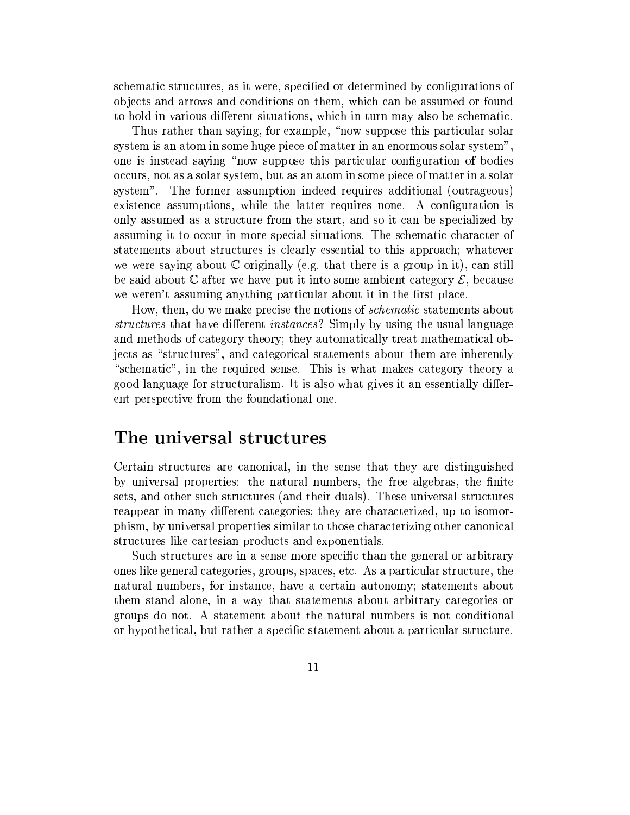schematic structures, as it were, specified or determined by configurations of objects and arrows and conditions on them, which can be assumed or found to hold in various different situations, which in turn may also be schematic.

Thus rather than saying, for example, "now suppose this particular solar system is an atom in some huge piece of matter in an enormous solar system", one is instead saying "now suppose this particular configuration of bodies occurs, not as a solar system, but as an atom in some piece of matter in a solar system". The former assumption indeed requires additional (outrageous) existence assumptions, while the latter requires none. A configuration is only assumed as a structure from the start, and so it can be specialized by assuming it to occur in more special situations. The schematic character of statements about structures is clearly essential to this approach; whatever we were saying about  $\mathbb C$  originally (e.g. that there is a group in it), can still be said about C after we have put it into some ambient category  $\mathcal{E}$ , because we weren't assuming anything particular about it in the first place.

How, then, do we make precise the notions of *schematic* statements about structures that have different *instances*? Simply by using the usual language and methods of category theory; they automatically treat mathematical objects as "structures", and categorical statements about them are inherently "schematic", in the required sense. This is what makes category theory a good language for structuralism. It is also what gives it an essentially different perspective from the foundational one.

# The universal structures

Certain structures are canonical, in the sense that they are distinguished by universal properties: the natural numbers, the free algebras, the finite sets, and other such structures (and their duals). These universal structures reappear in many different categories; they are characterized, up to isomorphism, by universal properties similar to those characterizing other canonical structures like cartesian products and exponentials.

Such structures are in a sense more specific than the general or arbitrary ones like general categories, groups, spaces, etc. As a particular structure, the natural numbers, for instance, have a certain autonomy; statements about them stand alone, in a way that statements about arbitrary categories or groups do not. A statement about the natural numbers is not conditional or hypothetical, but rather a specific statement about a particular structure.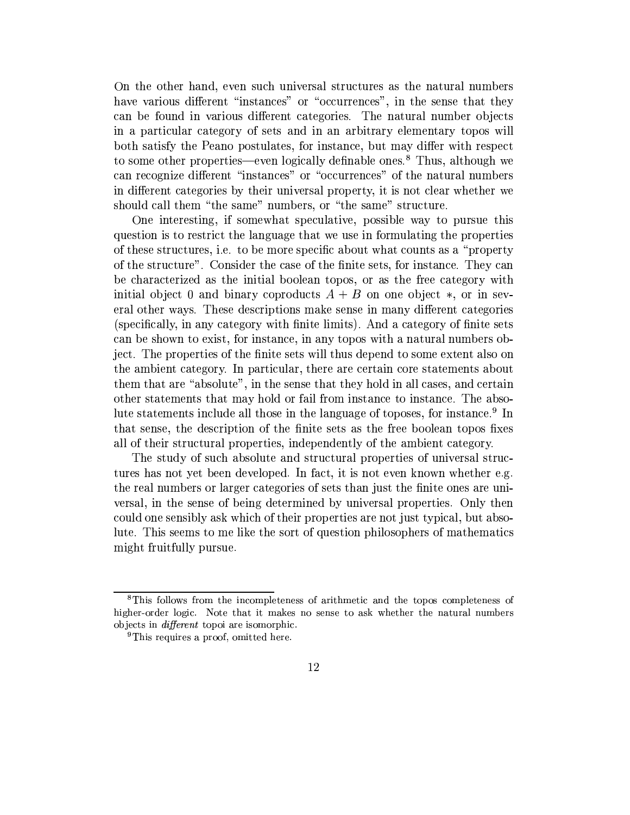On the other hand, even such universal structures as the natural numbers have various different "instances" or "occurrences", in the sense that they can be found in various different categories. The natural number objects in a particular category of sets and in an arbitrary elementary topos will both satisfy the Peano postulates, for instance, but may differ with respect to some other properties—even logically definable ones.<sup>8</sup> Thus, although we can recognize different "instances" or "occurrences" of the natural numbers in different categories by their universal property, it is not clear whether we should call them "the same" numbers, or "the same" structure.

One interesting, if somewhat speculative, possible way to pursue this question is to restrict the language that we use in formulating the properties of these structures, i.e. to be more specific about what counts as a "property" of the structure". Consider the case of the finite sets, for instance. They can be characterized as the initial boolean topos, or as the free category with initial object 0 and binary coproducts  $A + B$  on one object  $*$ , or in several other ways. These descriptions make sense in many different categories (specifically, in any category with finite limits). And a category of finite sets can be shown to exist, for instance, in any topos with a natural numbers object. The properties of the finite sets will thus depend to some extent also on the ambient category. In particular, there are certain core statements about them that are "absolute", in the sense that they hold in all cases, and certain other statements that may hold or fail from instance to instance. The absolute statements include all those in the language of toposes, for instance.<sup>9</sup> In that sense, the description of the finite sets as the free boolean topos fixes all of their structural properties, independently of the ambient category.

The study of such absolute and structural properties of universal structures has not yet been developed. In fact, it is not even known whether e.g. the real numbers or larger categories of sets than just the finite ones are universal, in the sense of being determined by universal properties. Only then could one sensibly ask which of their properties are not just typical, but absolute. This seems to me like the sort of question philosophers of mathematics might fruitfully pursue.

<sup>&</sup>lt;sup>8</sup>This follows from the incompleteness of arithmetic and the topos completeness of higher-order logic. Note that it makes no sense to ask whether the natural numbers objects in *different* topoi are isomorphic.

<sup>&</sup>lt;sup>9</sup>This requires a proof, omitted here.